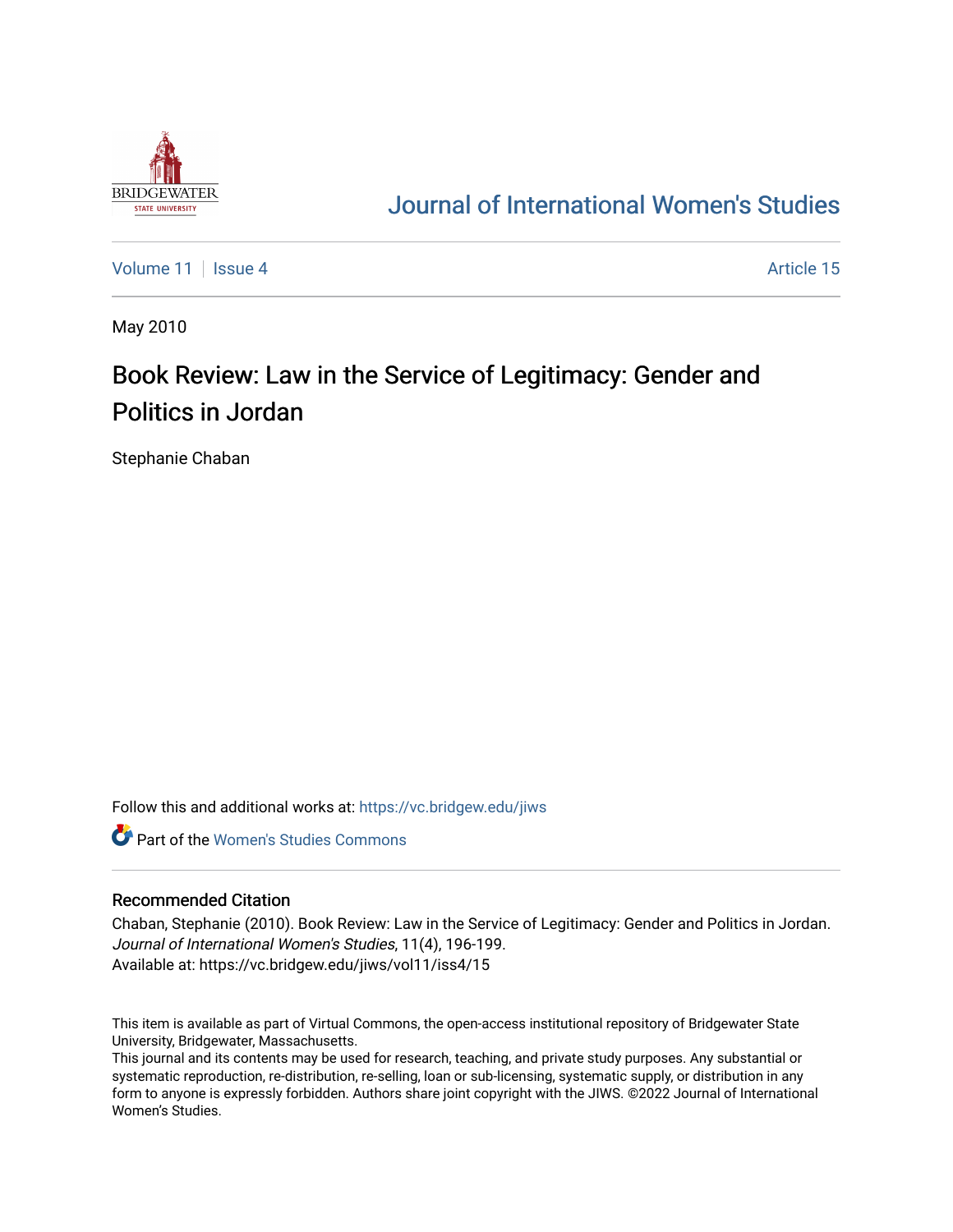

## [Journal of International Women's Studies](https://vc.bridgew.edu/jiws)

[Volume 11](https://vc.bridgew.edu/jiws/vol11) | [Issue 4](https://vc.bridgew.edu/jiws/vol11/iss4) Article 15

May 2010

## Book Review: Law in the Service of Legitimacy: Gender and Politics in Jordan

Stephanie Chaban

Follow this and additional works at: [https://vc.bridgew.edu/jiws](https://vc.bridgew.edu/jiws?utm_source=vc.bridgew.edu%2Fjiws%2Fvol11%2Fiss4%2F15&utm_medium=PDF&utm_campaign=PDFCoverPages)

**C** Part of the Women's Studies Commons

## Recommended Citation

Chaban, Stephanie (2010). Book Review: Law in the Service of Legitimacy: Gender and Politics in Jordan. Journal of International Women's Studies, 11(4), 196-199. Available at: https://vc.bridgew.edu/jiws/vol11/iss4/15

This item is available as part of Virtual Commons, the open-access institutional repository of Bridgewater State University, Bridgewater, Massachusetts.

This journal and its contents may be used for research, teaching, and private study purposes. Any substantial or systematic reproduction, re-distribution, re-selling, loan or sub-licensing, systematic supply, or distribution in any form to anyone is expressly forbidden. Authors share joint copyright with the JIWS. ©2022 Journal of International Women's Studies.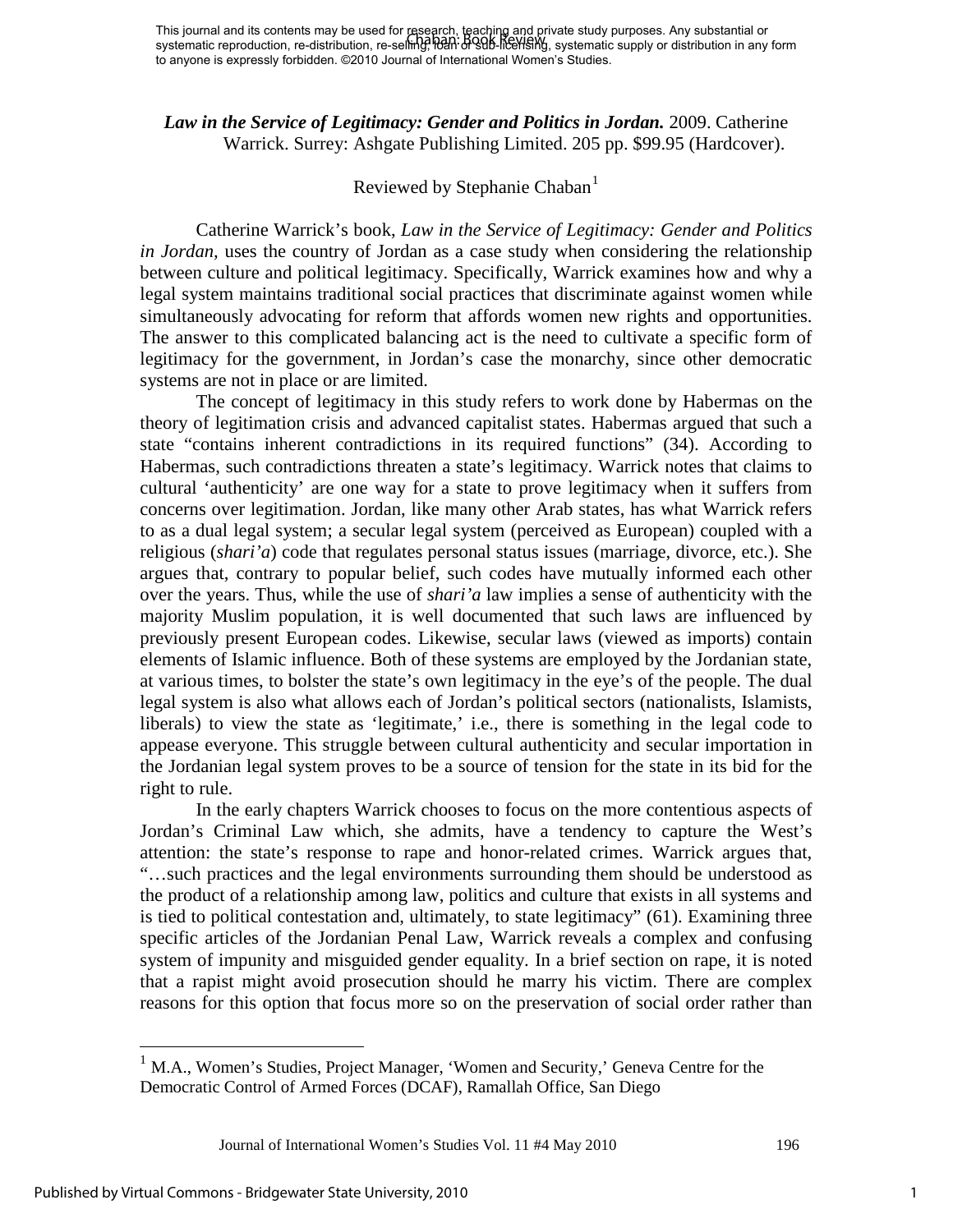*Law in the Service of Legitimacy: Gender and Politics in Jordan.* 2009. Catherine Warrick. Surrey: Ashgate Publishing Limited. 205 pp. \$99.95 (Hardcover).

## Reviewed by Stephanie Chaban<sup>[1](#page-1-0)</sup>

Catherine Warrick's book, *Law in the Service of Legitimacy: Gender and Politics in Jordan,* uses the country of Jordan as a case study when considering the relationship between culture and political legitimacy. Specifically, Warrick examines how and why a legal system maintains traditional social practices that discriminate against women while simultaneously advocating for reform that affords women new rights and opportunities. The answer to this complicated balancing act is the need to cultivate a specific form of legitimacy for the government, in Jordan's case the monarchy, since other democratic systems are not in place or are limited.

The concept of legitimacy in this study refers to work done by Habermas on the theory of legitimation crisis and advanced capitalist states. Habermas argued that such a state "contains inherent contradictions in its required functions" (34). According to Habermas, such contradictions threaten a state's legitimacy. Warrick notes that claims to cultural 'authenticity' are one way for a state to prove legitimacy when it suffers from concerns over legitimation. Jordan, like many other Arab states, has what Warrick refers to as a dual legal system; a secular legal system (perceived as European) coupled with a religious (*shari'a*) code that regulates personal status issues (marriage, divorce, etc.). She argues that, contrary to popular belief, such codes have mutually informed each other over the years. Thus, while the use of *shari'a* law implies a sense of authenticity with the majority Muslim population, it is well documented that such laws are influenced by previously present European codes. Likewise, secular laws (viewed as imports) contain elements of Islamic influence. Both of these systems are employed by the Jordanian state, at various times, to bolster the state's own legitimacy in the eye's of the people. The dual legal system is also what allows each of Jordan's political sectors (nationalists, Islamists, liberals) to view the state as 'legitimate,' i.e., there is something in the legal code to appease everyone. This struggle between cultural authenticity and secular importation in the Jordanian legal system proves to be a source of tension for the state in its bid for the right to rule.

In the early chapters Warrick chooses to focus on the more contentious aspects of Jordan's Criminal Law which, she admits, have a tendency to capture the West's attention: the state's response to rape and honor-related crimes. Warrick argues that, "…such practices and the legal environments surrounding them should be understood as the product of a relationship among law, politics and culture that exists in all systems and is tied to political contestation and, ultimately, to state legitimacy" (61). Examining three specific articles of the Jordanian Penal Law, Warrick reveals a complex and confusing system of impunity and misguided gender equality. In a brief section on rape, it is noted that a rapist might avoid prosecution should he marry his victim. There are complex reasons for this option that focus more so on the preservation of social order rather than

Journal of International Women's Studies Vol. 11 #4 May 2010 196

 $\overline{a}$ 

<span id="page-1-0"></span><sup>&</sup>lt;sup>1</sup> M.A., Women's Studies, Project Manager, 'Women and Security,' Geneva Centre for the Democratic Control of Armed Forces (DCAF), Ramallah Office, San Diego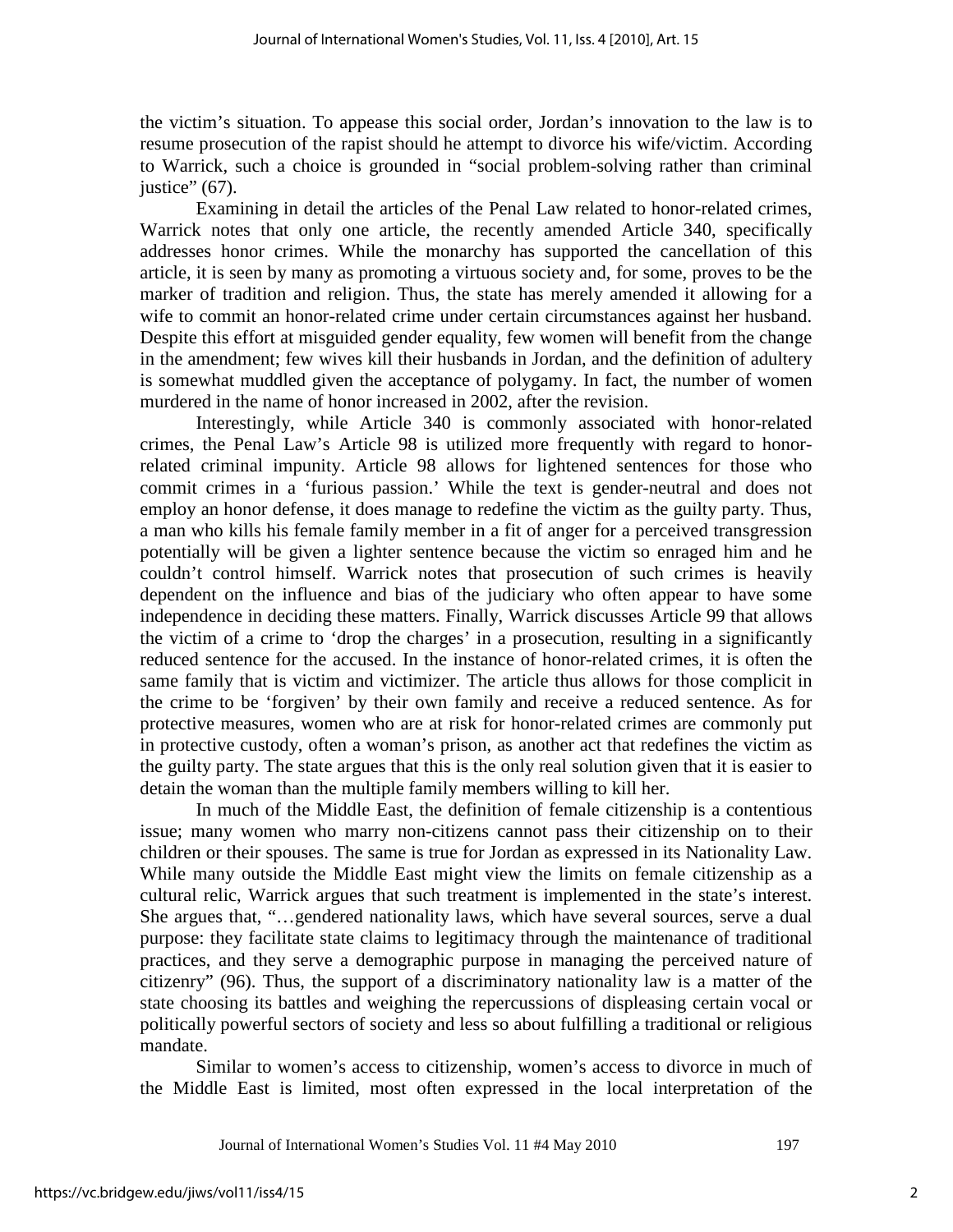the victim's situation. To appease this social order, Jordan's innovation to the law is to resume prosecution of the rapist should he attempt to divorce his wife/victim. According to Warrick, such a choice is grounded in "social problem-solving rather than criminal justice" (67).

Examining in detail the articles of the Penal Law related to honor-related crimes, Warrick notes that only one article, the recently amended Article 340, specifically addresses honor crimes. While the monarchy has supported the cancellation of this article, it is seen by many as promoting a virtuous society and, for some, proves to be the marker of tradition and religion. Thus, the state has merely amended it allowing for a wife to commit an honor-related crime under certain circumstances against her husband. Despite this effort at misguided gender equality, few women will benefit from the change in the amendment; few wives kill their husbands in Jordan, and the definition of adultery is somewhat muddled given the acceptance of polygamy. In fact, the number of women murdered in the name of honor increased in 2002, after the revision.

Interestingly, while Article 340 is commonly associated with honor-related crimes, the Penal Law's Article 98 is utilized more frequently with regard to honorrelated criminal impunity. Article 98 allows for lightened sentences for those who commit crimes in a 'furious passion.' While the text is gender-neutral and does not employ an honor defense, it does manage to redefine the victim as the guilty party. Thus, a man who kills his female family member in a fit of anger for a perceived transgression potentially will be given a lighter sentence because the victim so enraged him and he couldn't control himself. Warrick notes that prosecution of such crimes is heavily dependent on the influence and bias of the judiciary who often appear to have some independence in deciding these matters. Finally, Warrick discusses Article 99 that allows the victim of a crime to 'drop the charges' in a prosecution, resulting in a significantly reduced sentence for the accused. In the instance of honor-related crimes, it is often the same family that is victim and victimizer. The article thus allows for those complicit in the crime to be 'forgiven' by their own family and receive a reduced sentence. As for protective measures, women who are at risk for honor-related crimes are commonly put in protective custody, often a woman's prison, as another act that redefines the victim as the guilty party. The state argues that this is the only real solution given that it is easier to detain the woman than the multiple family members willing to kill her.

In much of the Middle East, the definition of female citizenship is a contentious issue; many women who marry non-citizens cannot pass their citizenship on to their children or their spouses. The same is true for Jordan as expressed in its Nationality Law. While many outside the Middle East might view the limits on female citizenship as a cultural relic, Warrick argues that such treatment is implemented in the state's interest. She argues that, "…gendered nationality laws, which have several sources, serve a dual purpose: they facilitate state claims to legitimacy through the maintenance of traditional practices, and they serve a demographic purpose in managing the perceived nature of citizenry" (96). Thus, the support of a discriminatory nationality law is a matter of the state choosing its battles and weighing the repercussions of displeasing certain vocal or politically powerful sectors of society and less so about fulfilling a traditional or religious mandate.

Similar to women's access to citizenship, women's access to divorce in much of the Middle East is limited, most often expressed in the local interpretation of the

Journal of International Women's Studies Vol. 11 #4 May 2010 197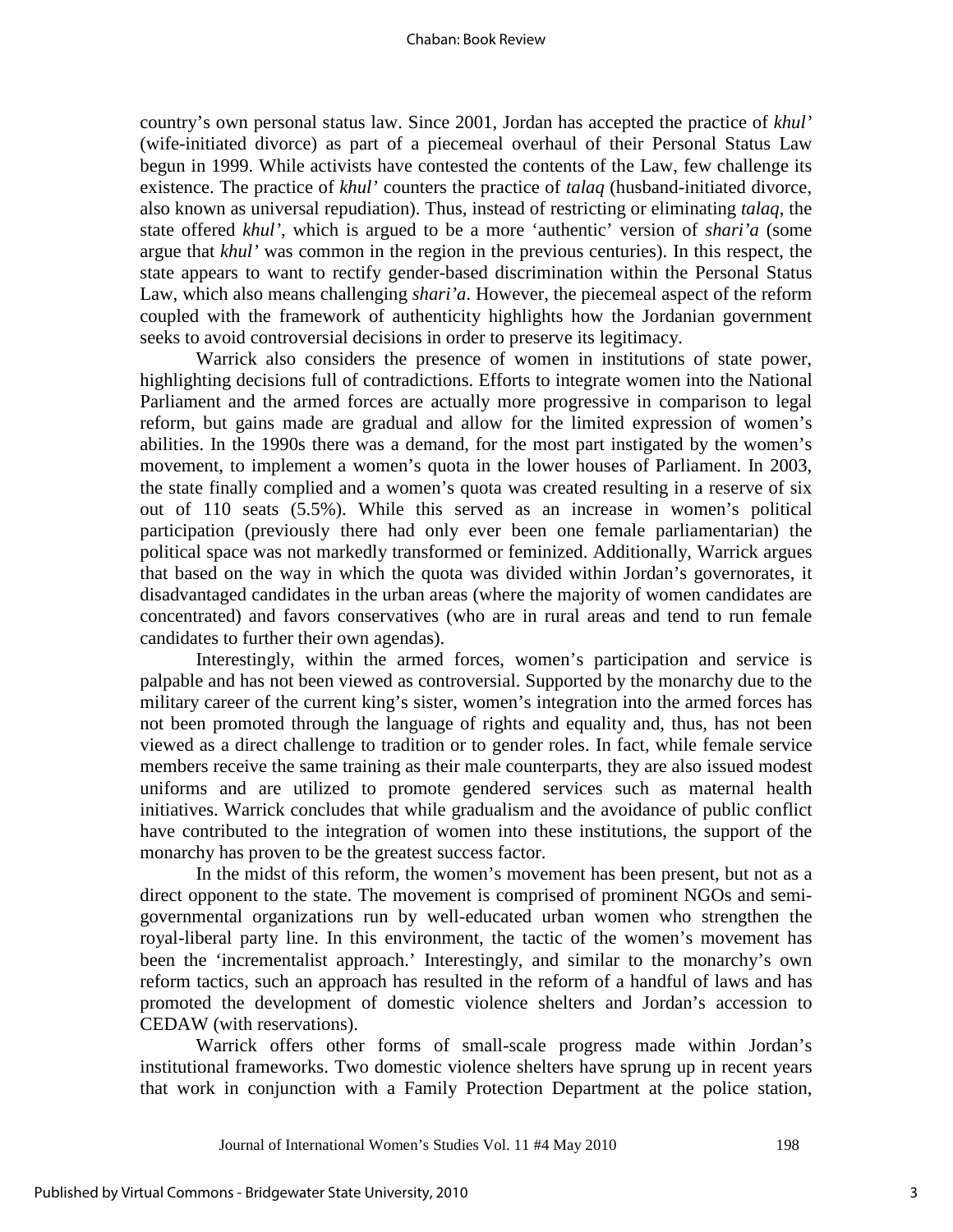country's own personal status law. Since 2001, Jordan has accepted the practice of *khul'* (wife-initiated divorce) as part of a piecemeal overhaul of their Personal Status Law begun in 1999. While activists have contested the contents of the Law, few challenge its existence. The practice of *khul'* counters the practice of *talaq* (husband-initiated divorce, also known as universal repudiation). Thus, instead of restricting or eliminating *talaq*, the state offered *khul'*, which is argued to be a more 'authentic' version of *shari'a* (some argue that *khul'* was common in the region in the previous centuries). In this respect, the state appears to want to rectify gender-based discrimination within the Personal Status Law, which also means challenging *shari'a*. However, the piecemeal aspect of the reform coupled with the framework of authenticity highlights how the Jordanian government seeks to avoid controversial decisions in order to preserve its legitimacy.

Warrick also considers the presence of women in institutions of state power, highlighting decisions full of contradictions. Efforts to integrate women into the National Parliament and the armed forces are actually more progressive in comparison to legal reform, but gains made are gradual and allow for the limited expression of women's abilities. In the 1990s there was a demand, for the most part instigated by the women's movement, to implement a women's quota in the lower houses of Parliament. In 2003, the state finally complied and a women's quota was created resulting in a reserve of six out of 110 seats (5.5%). While this served as an increase in women's political participation (previously there had only ever been one female parliamentarian) the political space was not markedly transformed or feminized. Additionally, Warrick argues that based on the way in which the quota was divided within Jordan's governorates, it disadvantaged candidates in the urban areas (where the majority of women candidates are concentrated) and favors conservatives (who are in rural areas and tend to run female candidates to further their own agendas).

Interestingly, within the armed forces, women's participation and service is palpable and has not been viewed as controversial. Supported by the monarchy due to the military career of the current king's sister, women's integration into the armed forces has not been promoted through the language of rights and equality and, thus, has not been viewed as a direct challenge to tradition or to gender roles. In fact, while female service members receive the same training as their male counterparts, they are also issued modest uniforms and are utilized to promote gendered services such as maternal health initiatives. Warrick concludes that while gradualism and the avoidance of public conflict have contributed to the integration of women into these institutions, the support of the monarchy has proven to be the greatest success factor.

In the midst of this reform, the women's movement has been present, but not as a direct opponent to the state. The movement is comprised of prominent NGOs and semigovernmental organizations run by well-educated urban women who strengthen the royal-liberal party line. In this environment, the tactic of the women's movement has been the 'incrementalist approach.' Interestingly, and similar to the monarchy's own reform tactics, such an approach has resulted in the reform of a handful of laws and has promoted the development of domestic violence shelters and Jordan's accession to CEDAW (with reservations).

Warrick offers other forms of small-scale progress made within Jordan's institutional frameworks. Two domestic violence shelters have sprung up in recent years that work in conjunction with a Family Protection Department at the police station,

Journal of International Women's Studies Vol. 11 #4 May 2010 198